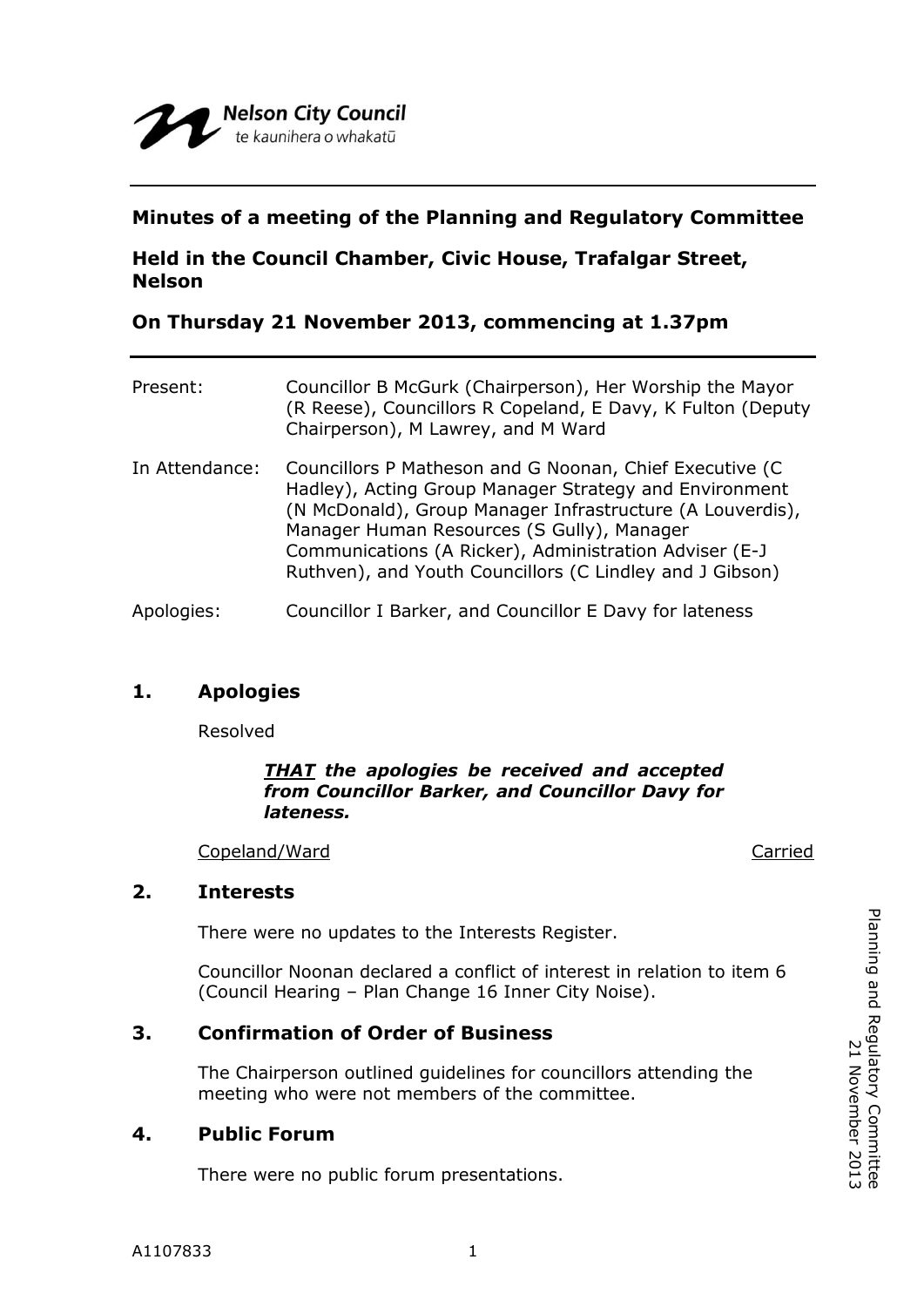### **Minutes of a meeting of the Planning and Regulatory Committee**

# **Held in the Council Chamber, Civic House, Trafalgar Street, Nelson**

## **On Thursday 21 November 2013, commencing at 1.37pm**

| Present:       | Councillor B McGurk (Chairperson), Her Worship the Mayor<br>(R Reese), Councillors R Copeland, E Davy, K Fulton (Deputy)<br>Chairperson), M Lawrey, and M Ward                                                                                                                                                                                     |
|----------------|----------------------------------------------------------------------------------------------------------------------------------------------------------------------------------------------------------------------------------------------------------------------------------------------------------------------------------------------------|
| In Attendance: | Councillors P Matheson and G Noonan, Chief Executive (C<br>Hadley), Acting Group Manager Strategy and Environment<br>(N McDonald), Group Manager Infrastructure (A Louverdis),<br>Manager Human Resources (S Gully), Manager<br>Communications (A Ricker), Administration Adviser (E-J<br>Ruthven), and Youth Councillors (C Lindley and J Gibson) |
| Apologies:     | Councillor I Barker, and Councillor E Davy for lateness                                                                                                                                                                                                                                                                                            |

## **1. Apologies**

Resolved

#### *THAT the apologies be received and accepted from Councillor Barker, and Councillor Davy for lateness.*

Copeland/Ward Carried

#### **2. Interests**

There were no updates to the Interests Register.

Councillor Noonan declared a conflict of interest in relation to item 6 (Council Hearing – Plan Change 16 Inner City Noise).

## **3. Confirmation of Order of Business**

The Chairperson outlined guidelines for councillors attending the meeting who were not members of the committee.

## **4. Public Forum**

There were no public forum presentations.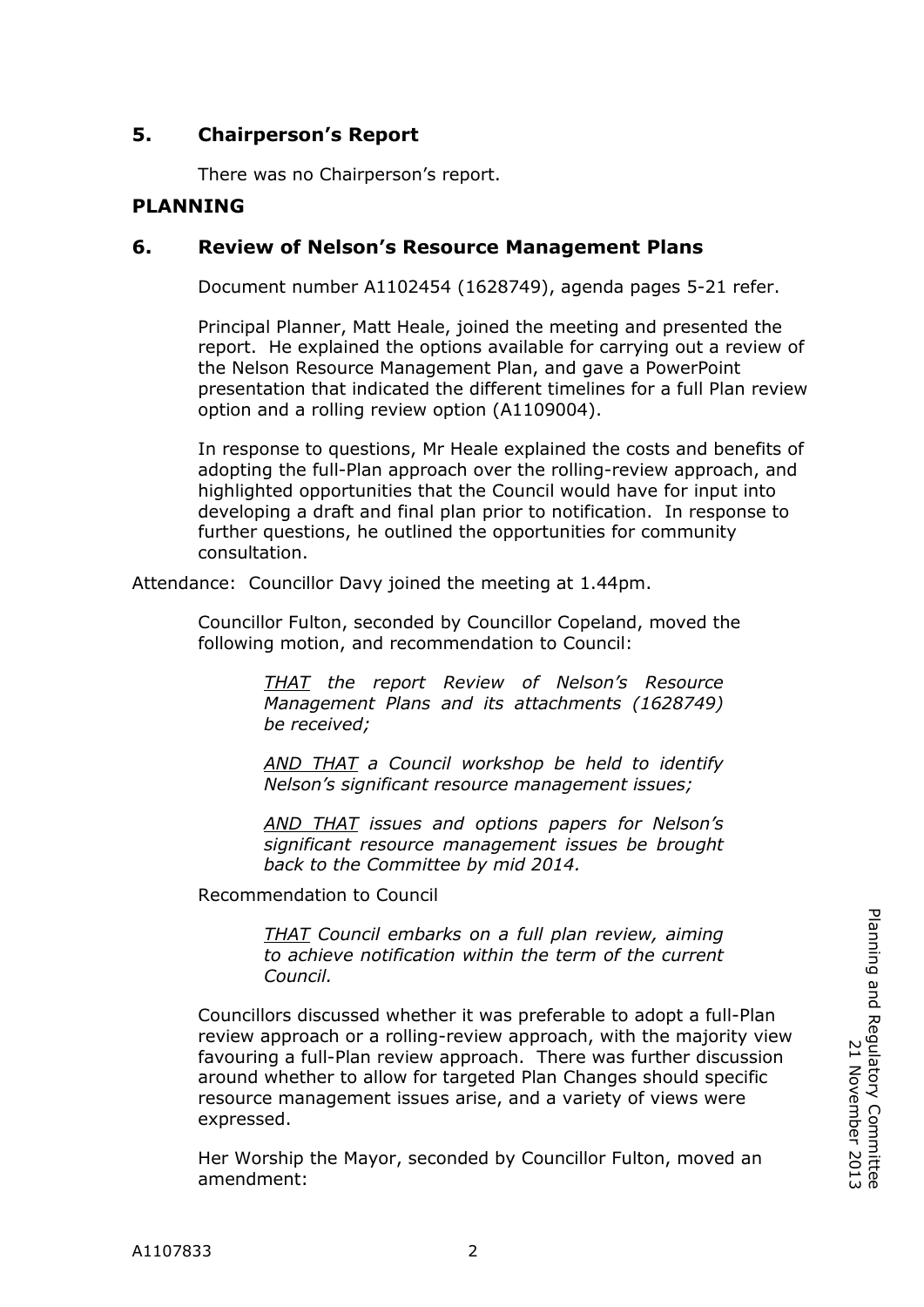# **5. Chairperson's Report**

There was no Chairperson's report.

## **PLANNING**

### **6. Review of Nelson's Resource Management Plans**

Document number A1102454 (1628749), agenda pages 5-21 refer.

Principal Planner, Matt Heale, joined the meeting and presented the report. He explained the options available for carrying out a review of the Nelson Resource Management Plan, and gave a PowerPoint presentation that indicated the different timelines for a full Plan review option and a rolling review option (A1109004).

In response to questions, Mr Heale explained the costs and benefits of adopting the full-Plan approach over the rolling-review approach, and highlighted opportunities that the Council would have for input into developing a draft and final plan prior to notification. In response to further questions, he outlined the opportunities for community consultation.

Attendance: Councillor Davy joined the meeting at 1.44pm.

Councillor Fulton, seconded by Councillor Copeland, moved the following motion, and recommendation to Council:

> *THAT the report Review of Nelson's Resource Management Plans and its attachments (1628749) be received;*

> *AND THAT a Council workshop be held to identify Nelson's significant resource management issues;*

> *AND THAT issues and options papers for Nelson's significant resource management issues be brought back to the Committee by mid 2014.*

Recommendation to Council

*THAT Council embarks on a full plan review, aiming to achieve notification within the term of the current Council.*

Councillors discussed whether it was preferable to adopt a full-Plan review approach or a rolling-review approach, with the majority view favouring a full-Plan review approach. There was further discussion around whether to allow for targeted Plan Changes should specific resource management issues arise, and a variety of views were expressed.

Her Worship the Mayor, seconded by Councillor Fulton, moved an amendment: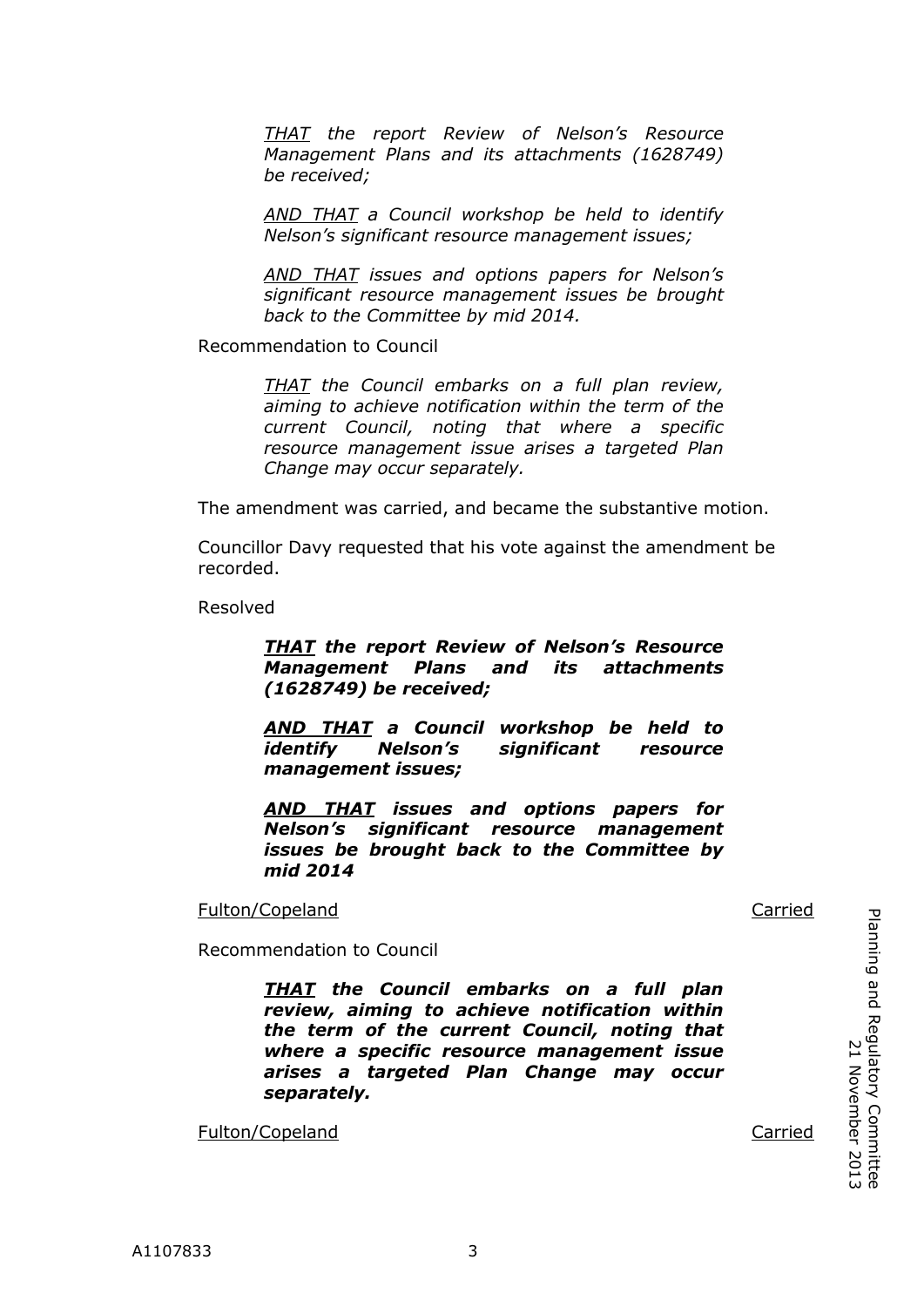*THAT the report Review of Nelson's Resource Management Plans and its attachments (1628749) be received;*

*AND THAT a Council workshop be held to identify Nelson's significant resource management issues;*

*AND THAT issues and options papers for Nelson's significant resource management issues be brought back to the Committee by mid 2014.*

Recommendation to Council

*THAT the Council embarks on a full plan review, aiming to achieve notification within the term of the current Council, noting that where a specific resource management issue arises a targeted Plan Change may occur separately.*

The amendment was carried, and became the substantive motion.

Councillor Davy requested that his vote against the amendment be recorded.

Resolved

#### *THAT the report Review of Nelson's Resource Management Plans and its attachments (1628749) be received;*

*AND THAT a Council workshop be held to identify Nelson's significant resource management issues;*

*AND THAT issues and options papers for Nelson's significant resource management issues be brought back to the Committee by mid 2014*

Fulton/Copeland **Carried** Carried Carried Carried Carried Carried Carried Carried Carried Carried Carried Carried Carried Carried Carried Carried Carried Carried Carried Carried Carried Carried Carried Carried Carried Carr

Recommendation to Council

*THAT the Council embarks on a full plan review, aiming to achieve notification within the term of the current Council, noting that where a specific resource management issue arises a targeted Plan Change may occur separately.*

Fulton/Copeland **Carried** Carried Carried Carried Carried Carried Carried Carried Carried Carried Carried Carried Carried Carried Carried Carried Carried Carried Carried Carried Carried Carried Carried Carried Carried Carr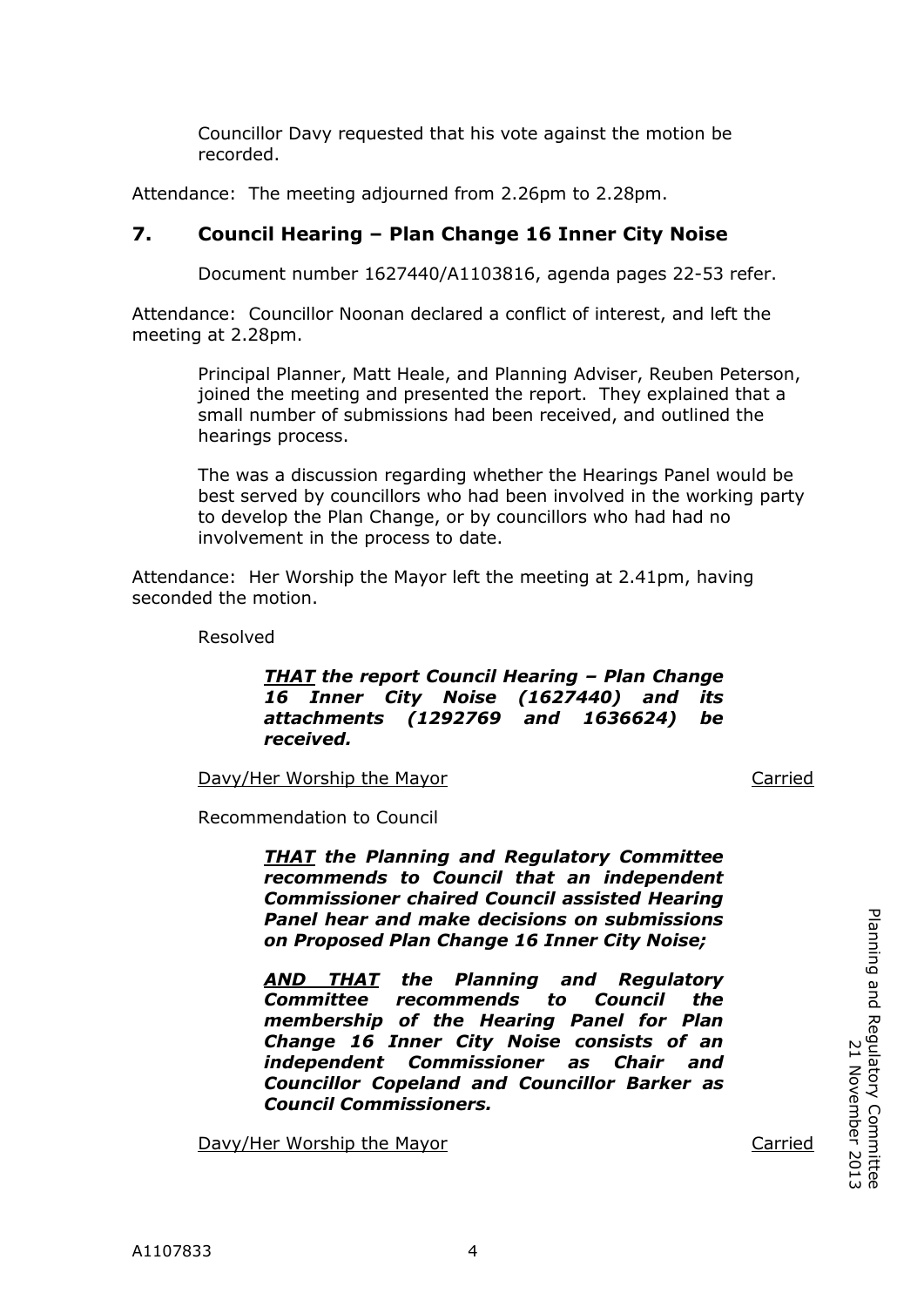Councillor Davy requested that his vote against the motion be recorded.

Attendance: The meeting adjourned from 2.26pm to 2.28pm.

# **7. Council Hearing – Plan Change 16 Inner City Noise**

Document number 1627440/A1103816, agenda pages 22-53 refer.

Attendance: Councillor Noonan declared a conflict of interest, and left the meeting at 2.28pm.

> Principal Planner, Matt Heale, and Planning Adviser, Reuben Peterson, joined the meeting and presented the report. They explained that a small number of submissions had been received, and outlined the hearings process.

> The was a discussion regarding whether the Hearings Panel would be best served by councillors who had been involved in the working party to develop the Plan Change, or by councillors who had had no involvement in the process to date.

Attendance: Her Worship the Mayor left the meeting at 2.41pm, having seconded the motion.

Resolved

#### *THAT the report Council Hearing – Plan Change 16 Inner City Noise (1627440) and its attachments (1292769 and 1636624) be received.*

Davy/Her Worship the Mayor Carried

*COMMITTEE*

Recommendation to Council

*THAT the Planning and Regulatory Committee recommends to Council that an independent Commissioner chaired Council assisted Hearing Panel hear and make decisions on submissions on Proposed Plan Change 16 Inner City Noise;*

*AND THAT the Planning and Regulatory Committee recommends to Council the membership of the Hearing Panel for Plan Change 16 Inner City Noise consists of an independent Commissioner as Chair and Councillor Copeland and Councillor Barker as Council Commissioners.*

Davy/Her Worship the Mayor Carried

Planning and Regulatory Committee

Planning and Regulatory Committee<br>2013<br>21 November 2013

21 November 2013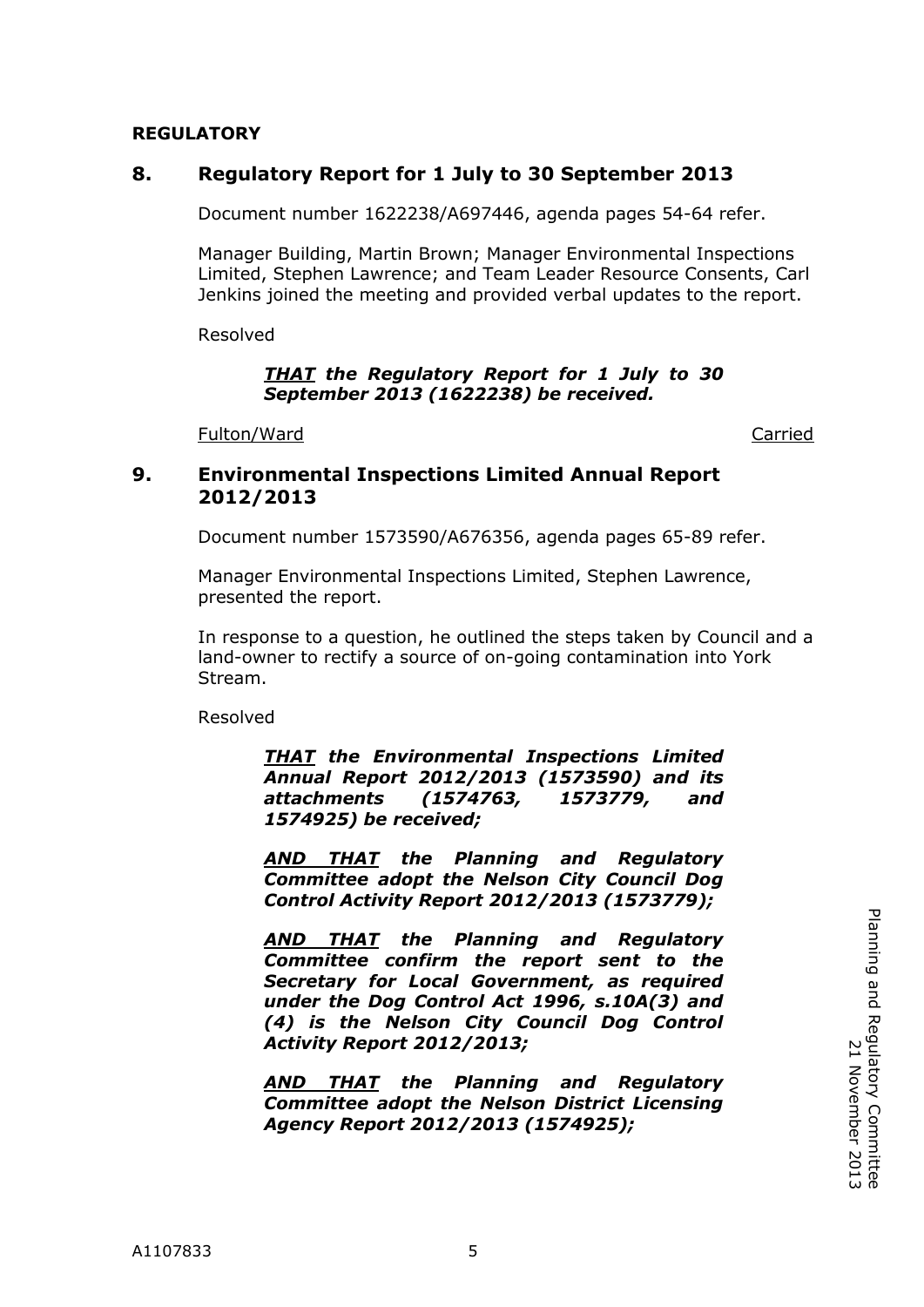#### **REGULATORY**

#### **8. Regulatory Report for 1 July to 30 September 2013**

Document number 1622238/A697446, agenda pages 54-64 refer.

Manager Building, Martin Brown; Manager Environmental Inspections Limited, Stephen Lawrence; and Team Leader Resource Consents, Carl Jenkins joined the meeting and provided verbal updates to the report.

Resolved

#### *THAT the Regulatory Report for 1 July to 30 September 2013 (1622238) be received.*

Fulton/Ward Carried

#### **9. Environmental Inspections Limited Annual Report 2012/2013**

Document number 1573590/A676356, agenda pages 65-89 refer.

Manager Environmental Inspections Limited, Stephen Lawrence, presented the report.

*COMMITTEE* In response to a question, he outlined the steps taken by Council and a land-owner to rectify a source of on-going contamination into York Stream.

Resolved

*THAT the Environmental Inspections Limited Annual Report 2012/2013 (1573590) and its attachments (1574763, 1573779, and 1574925) be received;*

*AND THAT the Planning and Regulatory Committee adopt the Nelson City Council Dog Control Activity Report 2012/2013 (1573779);*

*AND THAT the Planning and Regulatory Committee confirm the report sent to the Secretary for Local Government, as required under the Dog Control Act 1996, s.10A(3) and (4) is the Nelson City Council Dog Control Activity Report 2012/2013;*

*AND THAT the Planning and Regulatory Committee adopt the Nelson District Licensing Agency Report 2012/2013 (1574925);*